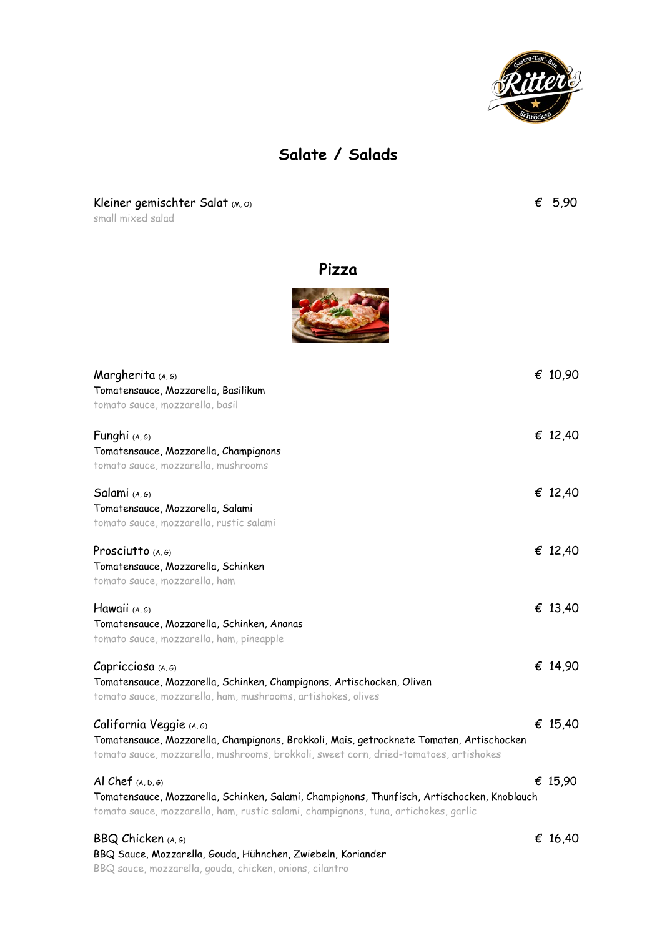

## **Salate / Salads**

Kleiner gemischter Salat (M, O)  $\epsilon$  5,90

small mixed salad

**Pizza**



| Margherita (A, G)                                                                                                                                                                  | € 10,90 |
|------------------------------------------------------------------------------------------------------------------------------------------------------------------------------------|---------|
| Tomatensauce, Mozzarella, Basilikum                                                                                                                                                |         |
| tomato sauce, mozzarella, basil                                                                                                                                                    |         |
| Funghi (A, G)                                                                                                                                                                      | € 12,40 |
| Tomatensauce, Mozzarella, Champignons                                                                                                                                              |         |
| tomato sauce, mozzarella, mushrooms                                                                                                                                                |         |
| Salami (A, G)                                                                                                                                                                      | € 12,40 |
| Tomatensauce, Mozzarella, Salami                                                                                                                                                   |         |
| tomato sauce, mozzarella, rustic salami                                                                                                                                            |         |
| Prosciutto $(A, G)$                                                                                                                                                                | € 12,40 |
| Tomatensauce, Mozzarella, Schinken                                                                                                                                                 |         |
| tomato sauce, mozzarella, ham                                                                                                                                                      |         |
|                                                                                                                                                                                    |         |
| Hawaii (A, G)                                                                                                                                                                      | € 13,40 |
| Tomatensauce, Mozzarella, Schinken, Ananas                                                                                                                                         |         |
| tomato sauce, mozzarella, ham, pineapple                                                                                                                                           |         |
|                                                                                                                                                                                    |         |
| Capricciosa (A, G)                                                                                                                                                                 | € 14,90 |
| Tomatensauce, Mozzarella, Schinken, Champignons, Artischocken, Oliven                                                                                                              |         |
| tomato sauce, mozzarella, ham, mushrooms, artishokes, olives                                                                                                                       |         |
| California Veggie (A, G)                                                                                                                                                           | € 15,40 |
| Tomatensauce, Mozzarella, Champignons, Brokkoli, Mais, getrocknete Tomaten, Artischocken                                                                                           |         |
| tomato sauce, mozzarella, mushrooms, brokkoli, sweet corn, dried-tomatoes, artishokes                                                                                              |         |
| Al Chef $(A, D, G)$                                                                                                                                                                | € 15,90 |
| Tomatensauce, Mozzarella, Schinken, Salami, Champignons, Thunfisch, Artischocken, Knoblauch<br>tomato sauce, mozzarella, ham, rustic salami, champignons, tuna, artichokes, garlic |         |
|                                                                                                                                                                                    |         |
| BBQ Chicken (A, G)                                                                                                                                                                 | € 16,40 |
| BBQ Sauce, Mozzarella, Gouda, Hühnchen, Zwiebeln, Koriander                                                                                                                        |         |

BBQ sauce, mozzarella, gouda, chicken, onions, cilantro